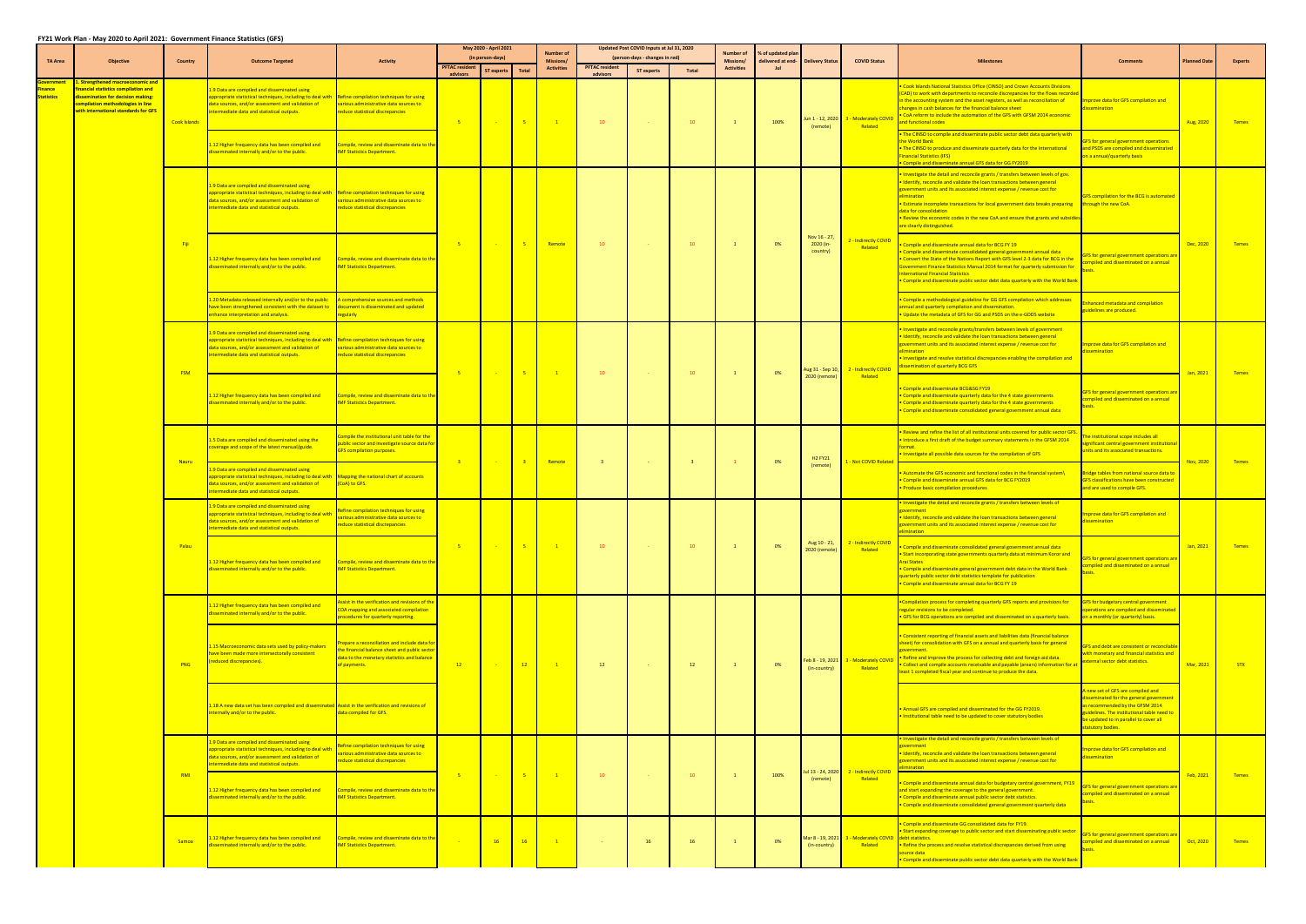|                             |                                                                                                                                                                                                   |                |                                                                                                                                                                                                                                                                                                                                                            | <b>Activity</b>                                                                                                                                                  | May 2020 - April 2021             |                                |                | <b>Number of</b>               | Updated Post COVID Inputs at Jul 31, 2020 |                                              | <b>Number of</b>        | % of updated plar              |                                                                          |                                       |                                                                                                                                                                                                                                                                                     |                                                                                                                                                                                                                                                                                                                                                                                                                                                                                                                                                                                                                            |                                                                                                                                                                                                                           |                     |                |
|-----------------------------|---------------------------------------------------------------------------------------------------------------------------------------------------------------------------------------------------|----------------|------------------------------------------------------------------------------------------------------------------------------------------------------------------------------------------------------------------------------------------------------------------------------------------------------------------------------------------------------------|------------------------------------------------------------------------------------------------------------------------------------------------------------------|-----------------------------------|--------------------------------|----------------|--------------------------------|-------------------------------------------|----------------------------------------------|-------------------------|--------------------------------|--------------------------------------------------------------------------|---------------------------------------|-------------------------------------------------------------------------------------------------------------------------------------------------------------------------------------------------------------------------------------------------------------------------------------|----------------------------------------------------------------------------------------------------------------------------------------------------------------------------------------------------------------------------------------------------------------------------------------------------------------------------------------------------------------------------------------------------------------------------------------------------------------------------------------------------------------------------------------------------------------------------------------------------------------------------|---------------------------------------------------------------------------------------------------------------------------------------------------------------------------------------------------------------------------|---------------------|----------------|
| <b>TA Area</b>              | <b>Objective</b>                                                                                                                                                                                  | <b>Country</b> | <b>Outcome Targeted</b>                                                                                                                                                                                                                                                                                                                                    |                                                                                                                                                                  | <b>PFTAC</b> resident<br>advisors | (in person-days)<br>ST experts | Total          | Missions/<br><b>Activities</b> | <b>PFTAC resident</b><br>advisors         | (person-days - changes in red)<br>ST experts | Total                   | Missions/<br><b>Activities</b> | delivered at end-<br><b>Delivery Status</b><br><b>Jul</b>                |                                       | <b>COVID Status</b>                                                                                                                                                                                                                                                                 |                                                                                                                                                                                                                                                                                                                                                                                                                                                                                                                                                                                                                            | <b>Comments</b>                                                                                                                                                                                                           | <b>Planned Date</b> | <b>Experts</b> |
| inance<br><b>Statistics</b> | <u>. Strengthened macroeconomic and</u><br>inancial statistics compilation and<br>dissemination for decision making:<br>compilation methodologies in line<br>with international standards for GFS | Cook Islands   | .9 Data are compiled and disseminated using<br>appropriate statistical techniques, including to deal with <b>Refine compilation techniques for using</b><br>ata sources, and/or assessment and validation of<br>termediate data and statistical outputs.<br>12 Higher frequency data has been compiled and<br>isseminated internally and/or to the public. | various administrative data sources to<br>educe statistical discrepancies<br>Compile, review and disseminate data to the<br><b>IMF Statistics Department.</b>    | $-5$                              |                                | $-5$           | $\blacksquare$                 | $10-10$                                   | <b>Contract</b>                              | 10                      | $\overline{1}$                 | 100%                                                                     | (remote)                              | lun 1 - 12, 2020 3 - Moderately COVID<br>Related                                                                                                                                                                                                                                    | Cook Islands National Statistics Office (CINSO) and Crown Accounts Divisions<br>CAD) to work with departments to reconcile discrepancies for the flows recorded<br>the accounting system and the asset registers, as well as reconciliation of<br>anges in cash balances for the financial balance sheet<br>CoA reform to include the automation of the GFS with GFSM 2014 economic<br>nd functional codes<br>The CINSO to compile and disseminate public sector debt data quarterly with<br>e World Bank<br>The CINSO to produce and disseminate quarterly data for the International<br><b>Inancial Statistics (IFS)</b> | Improve data for GFS compilation and<br>semination<br>FS for general government operations<br>and PSDS are compiled and disseminated<br>on a annual/quarterly basis                                                       | Aug, 2020           | <b>Temes</b>   |
|                             |                                                                                                                                                                                                   |                | 1.9 Data are compiled and disseminated using<br>ppropriate statistical techniques, including to deal with <b>Refine compilation techniques for using</b><br>ata sources, and/or assessment and validation of<br>termediate data and statistical outputs.                                                                                                   | various administrative data sources to<br>educe statistical discrepancies                                                                                        |                                   |                                |                |                                |                                           |                                              |                         |                                |                                                                          |                                       |                                                                                                                                                                                                                                                                                     | Compile and disseminate annual GFS data for GG FY2019<br>Investigate the detail and reconcile grants / transfers between levels of gov.<br>Identify, reconcile and validate the loan transactions between general<br>overnment units and its associated interest expense / revenue cost for<br>imination<br>Estimate incomplete transactions for local government data breaks preparing through the new CoA.<br>lata for consolidation<br>Review the economic codes in the new CoA and ensure that grants and subsidies<br>are clearly distinguished.                                                                      | <b>FS compilation for the BCG is automated</b>                                                                                                                                                                            |                     |                |
|                             |                                                                                                                                                                                                   | Fiji           | 12 Higher frequency data has been compiled and<br>seminated internally and/or to the public.                                                                                                                                                                                                                                                               | Compile, review and disseminate data to the<br><b>MF Statistics Department</b>                                                                                   | $-5$                              |                                | $-5$           | Remote                         | 10                                        | <b>Common</b>                                | 10                      |                                | 0%                                                                       | Nov 16 - 27,<br>2020 (in-<br>country) | 2 - Indirectly COVID<br>Related                                                                                                                                                                                                                                                     | Compile and disseminate annual data for BCG FY 19<br>Compile and disseminate consolidated general government annual data<br>Convert the State of the Nations Report with GFS level 2-3 data for BCG in the<br>vernment Finance Statistics Manual 2014 format for quarterly submission for<br>ternational Financial Statistics<br>Compile and disseminate public sector debt data quarterly with the World Bank                                                                                                                                                                                                             | <b>IFS for general government operations are</b><br>ompiled and disseminated on a annual                                                                                                                                  | Dec, 2020           | <b>Temes</b>   |
|                             |                                                                                                                                                                                                   |                | 20 Metadata released internally and/or to the public<br>ave been strengthened consistent with the dataset to <b>document is disseminated and updated</b><br>nhance interpretation and analysis.                                                                                                                                                            | comprehensive sources and methods<br>egularly                                                                                                                    |                                   |                                |                |                                |                                           |                                              |                         |                                |                                                                          |                                       |                                                                                                                                                                                                                                                                                     | Compile a methodological guideline for GG GFS compilation which addresses<br>nnual and quarterly compilation and dissemination.<br>Update the metadata of GFS for GG and PSDS on the e-GDDS website                                                                                                                                                                                                                                                                                                                                                                                                                        | hanced metadata and compilation<br>uidelines are produced.                                                                                                                                                                |                     |                |
|                             |                                                                                                                                                                                                   | <b>FSM</b>     | .9 Data are compiled and disseminated using<br>appropriate statistical techniques, including to deal with<br>data sources, and/or assessment and validation of<br>termediate data and statistical outputs.                                                                                                                                                 | Refine compilation techniques for using<br>various administrative data sources to<br>educe statistical discrepancies                                             |                                   |                                | $-5$           | $\blacksquare$                 | $10-10$                                   | <b>Contract</b>                              | 10                      |                                | 0%                                                                       | Aug 31 - Sep 10,<br>2020 (remote)     | 2 - Indirectly COVID<br>Related                                                                                                                                                                                                                                                     | Investigate and reconcile grants/transfers between levels of government<br>Identify, reconcile and validate the loan transactions between general<br>vernment units and its associated interest expense / revenue cost for<br>mination<br>nvestigate and resolve statistical discrepancies enabling the compilation and<br>ssemination of quarterly BCG GFS                                                                                                                                                                                                                                                                | Improve data for GFS compilation and<br>semination                                                                                                                                                                        |                     |                |
|                             |                                                                                                                                                                                                   |                | .12 Higher frequency data has been compiled and<br>isseminated internally and/or to the public.                                                                                                                                                                                                                                                            | Compile, review and disseminate data to the<br><b>IMF Statistics Department.</b>                                                                                 | $-5$                              |                                |                |                                |                                           |                                              |                         |                                |                                                                          |                                       |                                                                                                                                                                                                                                                                                     | Compile and disseminate BCG&SG FY19<br>Compile and disseminate quarterly data for the 4 state governments<br>Compile and disseminate quarterly data for the 4 state governments<br>Compile and disseminate consolidated general government annual data                                                                                                                                                                                                                                                                                                                                                                     | GFS for general government operations are<br>ompiled and disseminated on a annual                                                                                                                                         | Jan, 2021           | <b>Temes</b>   |
|                             |                                                                                                                                                                                                   | <b>Nauru</b>   | .5 Data are compiled and disseminated using the<br>overage and scope of the latest manual/guide.                                                                                                                                                                                                                                                           | compile the institutional unit table for the<br>ublic sector and investigate source data for<br>GFS compilation purposes.                                        | $-3$                              |                                | $-3$           | Remote                         | $\overline{\mathbf{3}}$                   | <b>Common</b>                                | $\overline{\mathbf{3}}$ |                                | 0%                                                                       | H <sub>2</sub> FY <sub>21</sub>       | L - Not COVID Related                                                                                                                                                                                                                                                               | Review and refine the list of all institutional units covered for public sector GFS<br>Introduce a first draft of the budget summary statements in the GFSM 2014<br>Investigate all possible data sources for the compilation of GFS                                                                                                                                                                                                                                                                                                                                                                                       | e institutional scope includes all<br>mificant central government institutior<br>inits and its associated transactions.                                                                                                   | Nov, 2020           | <b>Temes</b>   |
|                             |                                                                                                                                                                                                   |                | 9 Data are compiled and disseminated using<br>ppropriate statistical techniques, including to deal with<br>data sources, and/or assessment and validation of<br>termediate data and statistical outputs.                                                                                                                                                   | Mapping the national chart of accounts<br>CoA) to GFS.                                                                                                           |                                   |                                |                |                                |                                           |                                              |                         |                                |                                                                          | (remote)                              |                                                                                                                                                                                                                                                                                     | Automate the GFS economic and functional codes in the financial system\<br>Compile and disseminate annual GFS data for BCG FY2019<br>Produce basic compilation procedures                                                                                                                                                                                                                                                                                                                                                                                                                                                  | Bridge tables from national source data to<br>GFS classifications have been constructed<br>and are used to compile GFS.                                                                                                   |                     |                |
|                             |                                                                                                                                                                                                   | Palau          | .9 Data are compiled and disseminated using<br>ppropriate statistical techniques, including to deal with<br>data sources, and/or assessment and validation of<br>ntermediate data and statistical outputs.                                                                                                                                                 | lefine compilation techniques for using<br>arious administrative data sources to<br>educe statistical discrepancies                                              |                                   |                                | $-5$           |                                |                                           |                                              |                         |                                | 0%                                                                       | Aug 10 - 21,<br>2020 (remote)         | 2 - Indirectly COVID<br>Related                                                                                                                                                                                                                                                     | Investigate the detail and reconcile grants / transfers between levels of<br>Identify, reconcile and validate the loan transactions between general<br>overnment units and its associated interest expense / revenue cost for<br>nination                                                                                                                                                                                                                                                                                                                                                                                  | <b>prove data for GFS compilation and</b><br>semination                                                                                                                                                                   | Jan, 2021           | Temes          |
|                             |                                                                                                                                                                                                   |                | 12 Higher frequency data has been compiled and<br>sseminated internally and/or to the public.                                                                                                                                                                                                                                                              | Compile, review and disseminate data to the<br><b>MF Statistics Department</b>                                                                                   | $-5$                              |                                |                | $\blacksquare$ 1               | $10-10$                                   |                                              | 10 <sup>10</sup>        |                                |                                                                          |                                       |                                                                                                                                                                                                                                                                                     | Compile and disseminate consolidated general government annual data<br>• Start incorporating state governments quarterly data at minimum Koror and<br>Arai States<br>Compile and disseminate general government debt data in the World Bank<br>uarterly public sector debt statistics template for publication<br>Compile and disseminate annual data for BCG FY 19                                                                                                                                                                                                                                                        | <b>FS for general government operations are</b><br><b>Impiled and disseminated on a annual</b>                                                                                                                            |                     |                |
|                             |                                                                                                                                                                                                   |                | 12 Higher frequency data has been compiled and<br>isseminated internally and/or to the public.                                                                                                                                                                                                                                                             | ssist in the verification and revisions of the<br>COA mapping and associated compilation<br>rocedures for quarterly reporting.                                   |                                   |                                | $\frac{12}{ }$ |                                | 12                                        | <b>College</b>                               | 12                      | $\overline{1}$                 | 0%                                                                       | (in-country)                          | Feb 8 - 19, 2021 3 - Moderately COVID<br>Related                                                                                                                                                                                                                                    | Compilation process for completing quarterly GFS reports and provisions for<br>regular revisions to be completed.<br>• GFS for BCG operations are compiled and disseminated on a quarterly basis.                                                                                                                                                                                                                                                                                                                                                                                                                          | GFS for budgetary central government<br>perations are compiled and disseminated<br>on a monthly (or quarterly) basis.                                                                                                     |                     |                |
|                             |                                                                                                                                                                                                   | <b>PNG</b>     | .15 Macroeconomic data sets used by policy-makers<br>ave been made more intersectorally consistent<br>educed discrepancies).<br>.18 A new data set has been compiled and disseminated Assist in the verification and revisions of<br>ternally and/or to the public.                                                                                        | repare a reconciliation and include data for<br>he financial balance sheet and public sector<br>lata to the monetary statistics and balance<br><b>payments</b> . | $-12$                             |                                |                | $\blacksquare$                 |                                           |                                              |                         |                                |                                                                          |                                       |                                                                                                                                                                                                                                                                                     | Consistent reporting of financial assets and liabilities data (financial balance<br>sheet) for consolidation with GFS on a annual and quarterly basis for general<br>wernment.<br>Refine and improve the process for collecting debt and foreign aid data.<br>Collect and compile accounts receivable and payable (arears) information for at<br>east 1 completed fiscal year and continue to produce the data.                                                                                                                                                                                                            | FS and debt are consistent or reconcilab<br>vith monetary and financial statistics and<br>external sector debt statistics.                                                                                                | Mar, 2021           | <b>STX</b>     |
|                             |                                                                                                                                                                                                   |                |                                                                                                                                                                                                                                                                                                                                                            | data compiled for GFS.                                                                                                                                           |                                   |                                |                |                                |                                           |                                              |                         |                                |                                                                          |                                       |                                                                                                                                                                                                                                                                                     | . Annual GFS are compiled and disseminated for the GG FY2019.<br>Institutional table need to be updated to cover statutory bodies                                                                                                                                                                                                                                                                                                                                                                                                                                                                                          | new set of GFS are compiled and<br>isseminated for the general government<br>s recommended by the GFSM 2014<br>guidelines. The institutional table need to<br>be updated to in parallel to cover all<br>statutory bodies. |                     |                |
|                             |                                                                                                                                                                                                   |                | L.9 Data are compiled and disseminated using<br>ppropriate statistical techniques, including to deal with<br>ata sources, and/or assessment and validation of<br>termediate data and statistical outputs.                                                                                                                                                  | Refine compilation techniques for using<br>arious administrative data sources to<br>educe statistical discrepancies                                              |                                   |                                |                |                                |                                           |                                              |                         |                                | Jul 13 - 24, 2020<br>2 - Indirectly COVID<br>100%<br>Related<br>(remote) |                                       |                                                                                                                                                                                                                                                                                     | Investigate the detail and reconcile grants / transfers between levels of<br><i>v</i> ernment<br>Identify, reconcile and validate the loan transactions between general<br>vernment units and its associated interest expense / revenue cost for<br>nination                                                                                                                                                                                                                                                                                                                                                               | nprove data for GFS compilation and<br>semination                                                                                                                                                                         |                     |                |
|                             |                                                                                                                                                                                                   | RMI            | .12 Higher frequency data has been compiled and<br>isseminated internally and/or to the public.                                                                                                                                                                                                                                                            | Compile, review and disseminate data to the<br><b>IMF Statistics Department.</b>                                                                                 | $-5$                              |                                | $-5$           | $\blacksquare$                 | $10-10$                                   | <b>Contract</b>                              | 10                      | -1                             |                                                                          |                                       | Compile and disseminate annual data for budgetary central government, FY19<br>nd start expanding the coverage to the general government.<br>Compile and disseminate annual public sector debt statistics.<br>Compile and disseminate consolidated general government quarterly data | GFS for general government operations are<br>ompiled and disseminated on a annual<br>iasis.                                                                                                                                                                                                                                                                                                                                                                                                                                                                                                                                | Feb, 2021                                                                                                                                                                                                                 | <b>Temes</b>        |                |
|                             |                                                                                                                                                                                                   | Samoa          | 12 Higher frequency data has been compiled and<br>sseminated internally and/or to the public.                                                                                                                                                                                                                                                              | Compile, review and disseminate data to the<br><b>MF Statistics Department.</b>                                                                                  |                                   | 16                             | 16             | $\blacksquare$                 |                                           | 16                                           | 16                      |                                | 0%                                                                       | (in-country)                          | Mar 8 - 19, 2021 3 - Moderately COVID debt statistics.<br>Related                                                                                                                                                                                                                   | Compile and disseminate GG consolidated data for FY19.<br>. Start expanding coverage to public sector and start disseminating public sector<br>Refine the process and resolve statistical discrepancies derived from using<br>purce data<br>Compile and disseminate public sector debt data quarterly with the World Bank                                                                                                                                                                                                                                                                                                  | GFS for general government operations are<br>Impiled and disseminated on a annual                                                                                                                                         | Oct, 2020           | <b>Temes</b>   |